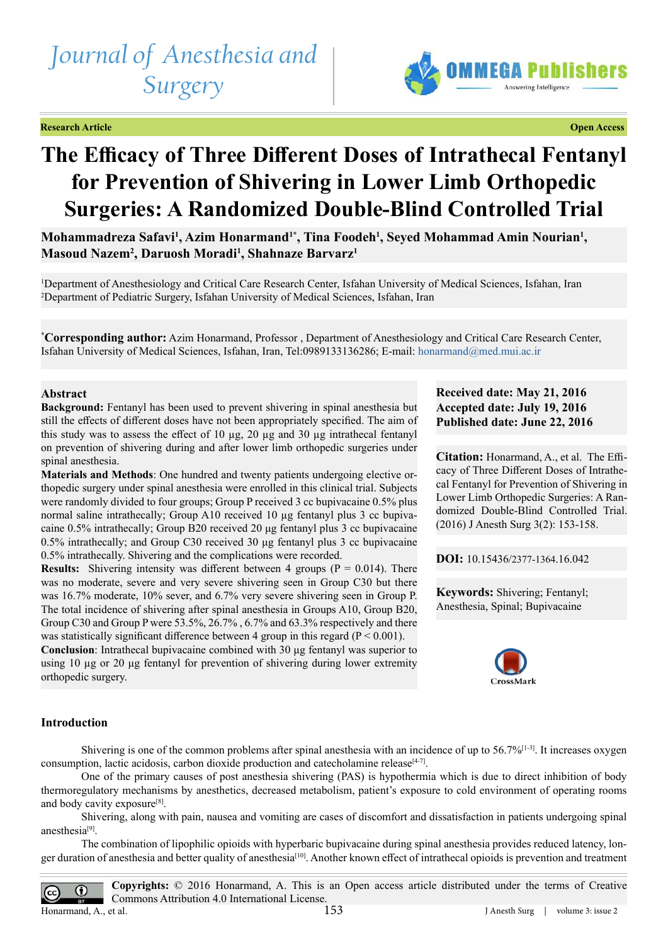# *Journal of Anesthesia and Surgery*

**Research Article Open Access**



# **The Efficacy of Three Different Doses of Intrathecal Fentanyl for Prevention of Shivering in Lower Limb Orthopedic Surgeries: A Randomized Double-Blind Controlled Trial**

Mohammadreza Safavi<sup>1</sup>, Azim Honarmand<sup>1\*</sup>, Tina Foodeh<sup>1</sup>, Seyed Mohammad Amin Nourian<sup>1</sup>, **Masoud Nazem<sup>2</sup> , Daruosh Moradi<sup>1</sup> , Shahnaze Barvarz<sup>1</sup>**

1 Department of Anesthesiology and Critical Care Research Center, Isfahan University of Medical Sciences, Isfahan, Iran 2 Department of Pediatric Surgery, Isfahan University of Medical Sciences, Isfahan, Iran

**\* Corresponding author:** Azim Honarmand, Professor , Department of Anesthesiology and Critical Care Research Center, Isfahan University of Medical Sciences, Isfahan, Iran, Tel:0989133136286; E-mail: [honarmand@med.mui.ac.ir](mailto:honarmand%40med.mui.ac.ir?subject=)

# **Abstract**

**Background:** Fentanyl has been used to prevent shivering in spinal anesthesia but still the effects of different doses have not been appropriately specified. The aim of this study was to assess the effect of 10 µg, 20 µg and 30 µg intrathecal fentanyl on prevention of shivering during and after lower limb orthopedic surgeries under spinal anesthesia.

**Materials and Methods**: One hundred and twenty patients undergoing elective orthopedic surgery under spinal anesthesia were enrolled in this clinical trial. Subjects were randomly divided to four groups; Group P received 3 cc bupivacaine 0.5% plus normal saline intrathecally; Group A10 received 10 µg fentanyl plus 3 cc bupivacaine 0.5% intrathecally; Group B20 received 20 μg fentanyl plus 3 cc bupivacaine 0.5% intrathecally; and Group C30 received 30 μg fentanyl plus 3 cc bupivacaine 0.5% intrathecally. Shivering and the complications were recorded.

**Results:** Shivering intensity was different between 4 groups ( $P = 0.014$ ). There was no moderate, severe and very severe shivering seen in Group C30 but there was 16.7% moderate, 10% sever, and 6.7% very severe shivering seen in Group P. The total incidence of shivering after spinal anesthesia in Groups A10, Group B20, Group C30 and Group P were 53.5%, 26.7% , 6.7% and 63.3% respectively and there was statistically significant difference between 4 group in this regard  $(P < 0.001)$ .

**Conclusion**: Intrathecal bupivacaine combined with 30 μg fentanyl was superior to using 10 µg or 20 μg fentanyl for prevention of shivering during lower extremity orthopedic surgery.

# **Received date: May 21, 2016 Accepted date: July 19, 2016 Published date: June 22, 2016**

**Citation:** Honarmand, A., et al. The Efficacy of Three Different Doses of Intrathecal Fentanyl for Prevention of Shivering in Lower Limb Orthopedic Surgeries: A Randomized Double-Blind Controlled Trial. (2016) J Anesth Surg 3(2): 153-158.

**DOI:** [10.15436/2377-1364.16.0](http://www.dx.doi.org/10.15436/2377-1364.16.042)42

**Keywords:** Shivering; Fentanyl; Anesthesia, Spinal; Bupivacaine



#### **Introduction**

Shivering is one of the common problems after spinal anesthesia with an incidence of up to  $56.7\%$ <sup>[1-3]</sup>. It increases oxygen consumption, lactic acidosis, carbon dioxide production and catecholamine release $[4-7]$ .

One of the primary causes of post anesthesia shivering (PAS) is hypothermia which is due to direct inhibition of body thermoregulatory mechanisms by anesthetics, decreased metabolism, patient's exposure to cold environment of operating rooms and body cavity exposure<sup>[8]</sup>.

Shivering, along with pain, nausea and vomiting are cases of discomfort and dissatisfaction in patients undergoing spinal anesthesia[\[9\]](#page-4-3).

The combination of lipophilic opioids with hyperbaric bupivacaine during spinal anesthesia provides reduced latency, longer duration of anesthesia and better quality of anesthesia[\[10\]](#page-4-4). Another known effect of intrathecal opioids is prevention and treatment

**Copyrights:** © 2016 Honarmand, A. This is an Open access article distributed under the terms of Creative  $\odot$ Commons Attribution 4.0 International License. Honarmand, A., et al. 153 J Anesth Surg | volume 3: issue 2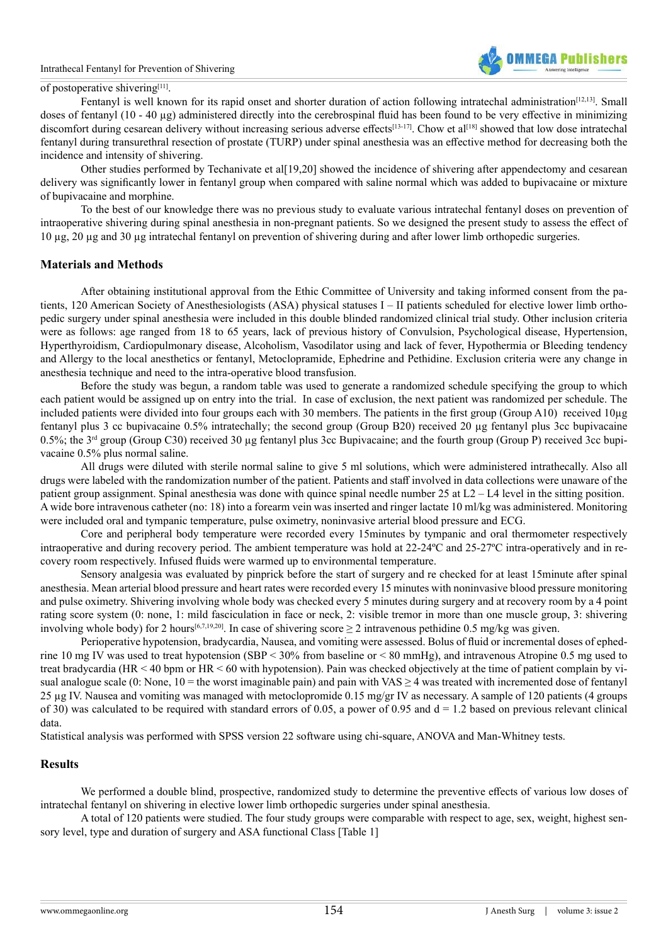

#### of postoperative shiverin[g\[11\].](#page-4-5)

Fentanyl is well known for its rapid onset and shorter duration of action following intratechal administration<sup>[12,13]</sup>. Small doses of fentanyl (10 - 40 µg) administered directly into the cerebrospinal fluid has been found to be very effective in minimizing discomfort during cesarean delivery without increasing serious adverse effects<sup>[\[13-17\]](#page-4-7)</sup>. Chow et al<sup>[\[18\]](#page-5-0)</sup> showed that low dose intratechal fentanyl during transurethral resection of prostate (TURP) under spinal anesthesia was an effective method for decreasing both the incidence and intensity of shivering.

Other studies performed by Techanivate et al[19,20] showed the incidence of shivering after appendectomy and cesarean delivery was significantly lower in fentanyl group when compared with saline normal which was added to bupivacaine or mixture of bupivacaine and morphine.

To the best of our knowledge there was no previous study to evaluate various intratechal fentanyl doses on prevention of intraoperative shivering during spinal anesthesia in non-pregnant patients. So we designed the present study to assess the effect of 10 µg, 20 µg and 30 µg intratechal fentanyl on prevention of shivering during and after lower limb orthopedic surgeries.

#### **Materials and Methods**

After obtaining institutional approval from the Ethic Committee of University and taking informed consent from the patients, 120 American Society of Anesthesiologists (ASA) physical statuses I – II patients scheduled for elective lower limb orthopedic surgery under spinal anesthesia were included in this double blinded randomized clinical trial study. Other inclusion criteria were as follows: age ranged from 18 to 65 years, lack of previous history of Convulsion, Psychological disease, Hypertension, Hyperthyroidism, Cardiopulmonary disease, Alcoholism, Vasodilator using and lack of fever, Hypothermia or Bleeding tendency and Allergy to the local anesthetics or fentanyl, Metoclopramide, Ephedrine and Pethidine. Exclusion criteria were any change in anesthesia technique and need to the intra-operative blood transfusion.

Before the study was begun, a random table was used to generate a randomized schedule specifying the group to which each patient would be assigned up on entry into the trial. In case of exclusion, the next patient was randomized per schedule. The included patients were divided into four groups each with 30 members. The patients in the first group (Group A10) received 10µg fentanyl plus 3 cc bupivacaine 0.5% intratechally; the second group (Group B20) received 20 µg fentanyl plus 3cc bupivacaine 0.5%; the 3<sup>rd</sup> group (Group C30) received 30 µg fentanyl plus 3cc Bupivacaine; and the fourth group (Group P) received 3cc bupivacaine 0.5% plus normal saline.

All drugs were diluted with sterile normal saline to give 5 ml solutions, which were administered intrathecally. Also all drugs were labeled with the randomization number of the patient. Patients and staff involved in data collections were unaware of the patient group assignment. Spinal anesthesia was done with quince spinal needle number 25 at L2 – L4 level in the sitting position. A wide bore intravenous catheter (no: 18) into a forearm vein was inserted and ringer lactate 10 ml/kg was administered. Monitoring were included oral and tympanic temperature, pulse oximetry, noninvasive arterial blood pressure and ECG.

Core and peripheral body temperature were recorded every 15minutes by tympanic and oral thermometer respectively intraoperative and during recovery period. The ambient temperature was hold at 22-24ºC and 25-27ºC intra-operatively and in recovery room respectively. Infused fluids were warmed up to environmental temperature.

Sensory analgesia was evaluated by pinprick before the start of surgery and re checked for at least 15minute after spinal anesthesia. Mean arterial blood pressure and heart rates were recorded every 15 minutes with noninvasive blood pressure monitoring and pulse oximetry. Shivering involving whole body was checked every 5 minutes during surgery and at recovery room by a 4 point rating score system (0: none, 1: mild fasciculation in face or neck, 2: visible tremor in more than one muscle group, 3: shivering involving whole body) for 2 hours<sup>[6,7,19,20]</sup>. In case of shivering score  $\geq$  2 intravenous pethidine 0.5 mg/kg was given.

Perioperative hypotension, bradycardia, Nausea, and vomiting were assessed. Bolus of fluid or incremental doses of ephedrine 10 mg IV was used to treat hypotension (SBP < 30% from baseline or < 80 mmHg), and intravenous Atropine 0.5 mg used to treat bradycardia (HR < 40 bpm or HR < 60 with hypotension). Pain was checked objectively at the time of patient complain by visual analogue scale (0: None, 10 = the worst imaginable pain) and pain with VAS  $\geq$  4 was treated with incremented dose of fentanyl 25 µg IV. Nausea and vomiting was managed with metoclopromide 0.15 mg/gr IV as necessary. A sample of 120 patients (4 groups of 30) was calculated to be required with standard errors of 0.05, a power of 0.95 and  $d = 1.2$  based on previous relevant clinical data.

Statistical analysis was performed with SPSS version 22 software using chi-square, ANOVA and Man-Whitney tests.

#### **Results**

We performed a double blind, prospective, randomized study to determine the preventive effects of various low doses of intratechal fentanyl on shivering in elective lower limb orthopedic surgeries under spinal anesthesia.

A total of 120 patients were studied. The four study groups were comparable with respect to age, sex, weight, highest sensory level, type and duration of surgery and ASA functional Class [Table 1]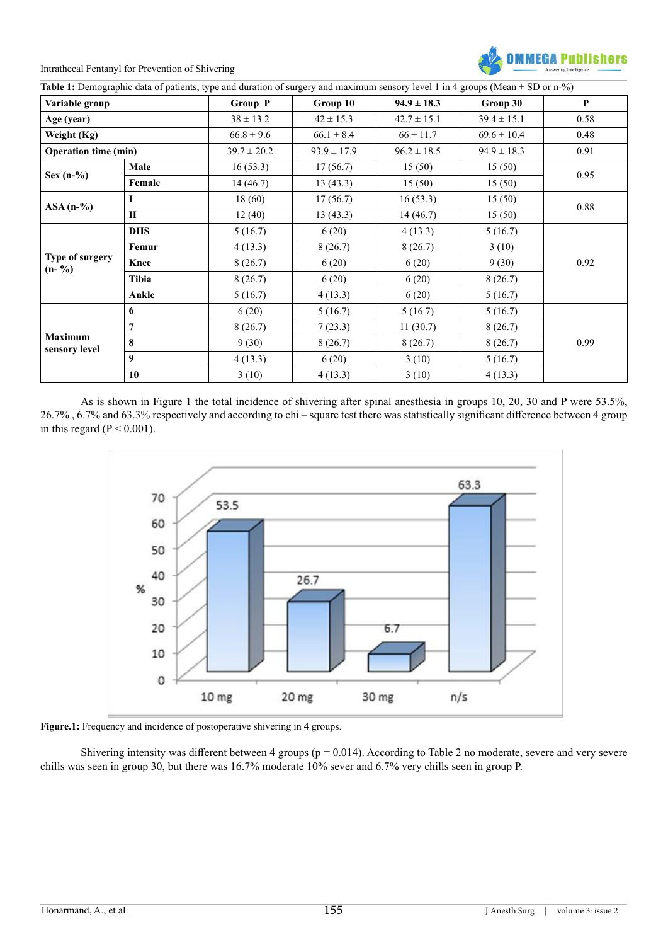Intrathecal Fentanyl for Prevention of Shivering



| Variable group                                           |              | Group P         | Group 10        | $94.9 \pm 18.3$ | Group 30        | P    |
|----------------------------------------------------------|--------------|-----------------|-----------------|-----------------|-----------------|------|
| Age (year)<br>Weight (Kg)<br><b>Operation time (min)</b> |              | $38 \pm 13.2$   | $42 \pm 15.3$   | $42.7 \pm 15.1$ | $39.4 \pm 15.1$ | 0.58 |
|                                                          |              | $66.8 \pm 9.6$  | $66.1 \pm 8.4$  | $66 \pm 11.7$   | $69.6 \pm 10.4$ | 0.48 |
|                                                          |              | $39.7 \pm 20.2$ | $93.9 \pm 17.9$ | $96.2 \pm 18.5$ | $94.9 \pm 18.3$ | 0.91 |
|                                                          | Male         | 16(53.3)        | 17(56.7)        | 15(50)          | 15(50)          | 0.95 |
| Sex $(n-\%)$                                             | Female       | 14(46.7)        | 13(43.3)        | 15(50)          | 15(50)          |      |
| $ASA(n-\%)$                                              |              | 18(60)          | 17(56.7)        | 16(53.3)        | 15(50)          | 0.88 |
|                                                          | $\mathbf{I}$ | 12(40)          | 13(43.3)        | 14(46.7)        | 15(50)          |      |
|                                                          | <b>DHS</b>   | 5(16.7)         | 6(20)           | 4(13.3)         | 5(16.7)         | 0.92 |
|                                                          | Femur        | 4(13.3)         | 8(26.7)         | 8(26.7)         | 3(10)           |      |
| Type of surgery<br>$(n - \frac{6}{6})$                   | Knee         | 8(26.7)         | 6(20)           | 6(20)           | 9(30)           |      |
|                                                          | Tibia        | 8(26.7)         | 6(20)           | 6(20)           | 8(26.7)         |      |
|                                                          | Ankle        | 5(16.7)         | 4(13.3)         | 6(20)           | 5(16.7)         |      |
| <b>Maximum</b><br>sensory level                          | 6            | 6(20)           | 5(16.7)         | 5(16.7)         | 5(16.7)         |      |
|                                                          | 7            | 8(26.7)         | 7(23.3)         | 11(30.7)        | 8(26.7)         |      |
|                                                          | 8            | 9(30)           | 8(26.7)         | 8(26.7)         | 8(26.7)         | 0.99 |
|                                                          | 9            | 4(13.3)         | 6(20)           | 3(10)           | 5(16.7)         |      |
|                                                          | 10           | 3(10)           | 4(13.3)         | 3(10)           | 4(13.3)         |      |

As is shown in Figure 1 the total incidence of shivering after spinal anesthesia in groups 10, 20, 30 and P were 53.5%, 26.7% , 6.7% and 63.3% respectively and according to chi – square test there was statistically significant difference between 4 group in this regard ( $P < 0.001$ ).



**Figure.1:** Frequency and incidence of postoperative shivering in 4 groups.

Shivering intensity was different between 4 groups ( $p = 0.014$ ). According to Table 2 no moderate, severe and very severe chills was seen in group 30, but there was 16.7% moderate 10% sever and 6.7% very chills seen in group P.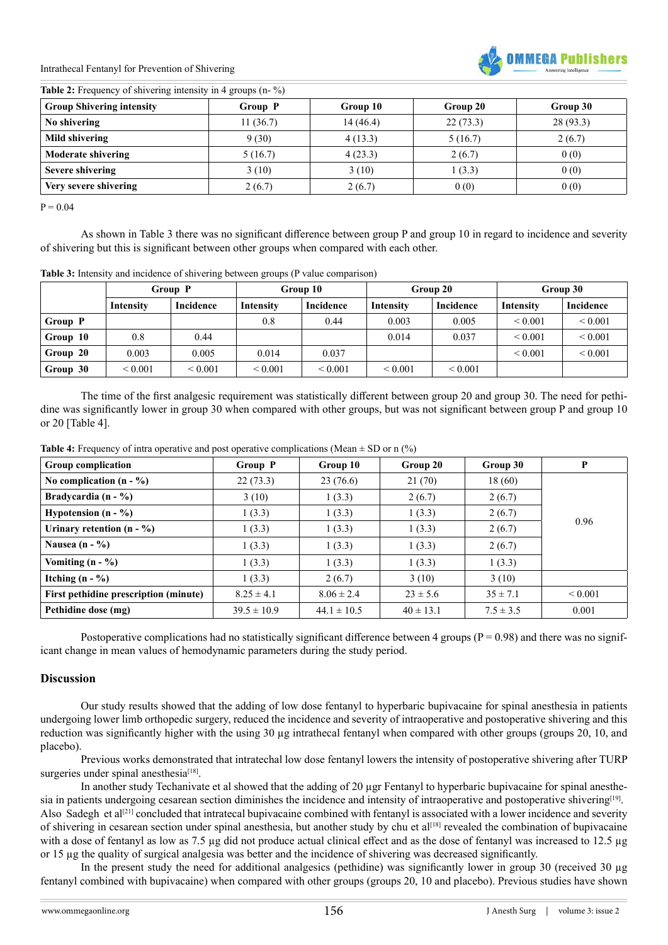Intrathecal Fentanyl for Prevention of Shivering



| <b>Table 2:</b> Frequency of shivering intensity in 4 groups $(n - %$ ) |  |  |  |  |
|-------------------------------------------------------------------------|--|--|--|--|
|-------------------------------------------------------------------------|--|--|--|--|

| <b>Group Shivering intensity</b> | Group P  | Group 10 | Group 20 | Group 30 |
|----------------------------------|----------|----------|----------|----------|
| No shivering                     | 11(36.7) | 14(46.4) | 22(73.3) | 28(93.3) |
| Mild shivering                   | 9(30)    | 4(13.3)  | 5(16.7)  | 2(6.7)   |
| <b>Moderate shivering</b>        | 5(16.7)  | 4(23.3)  | 2(6.7)   | 0(0)     |
| Severe shivering                 | 3(10)    | 3(10)    | 1(3.3)   | 0(0)     |
| Very severe shivering            | 2(6.7)   | 2(6.7)   | 0(0)     | 0(0)     |

 $P = 0.04$ 

As shown in Table 3 there was no significant difference between group P and group 10 in regard to incidence and severity of shivering but this is significant between other groups when compared with each other.

**Table 3:** Intensity and incidence of shivering between groups (P value comparison)

|          | Group P      |                  | Group 10     |                  | Group 20          |                  | Group 30     |                   |
|----------|--------------|------------------|--------------|------------------|-------------------|------------------|--------------|-------------------|
|          | Intensity    | <b>Incidence</b> | Intensity    | <b>Incidence</b> | Intensity         | <b>Incidence</b> | Intensity    | Incidence         |
| Group P  |              |                  | 0.8          | 0.44             | 0.003             | 0.005            | ${}_{0.001}$ | ${}_{0.001}$      |
| Group 10 | 0.8          | 0.44             |              |                  | 0.014             | 0.037            | ${}_{0.001}$ | ${}_{0.001}$      |
| Group 20 | 0.003        | 0.005            | 0.014        | 0.037            |                   |                  | ${}_{0.001}$ | ${}_{\leq 0.001}$ |
| Group 30 | ${}_{0.001}$ | ${}_{0.001}$     | ${}_{0.001}$ | ${}_{0.001}$     | ${}_{\leq 0.001}$ | ${}_{0.001}$     |              |                   |

The time of the first analgesic requirement was statistically different between group 20 and group 30. The need for pethidine was significantly lower in group 30 when compared with other groups, but was not significant between group P and group 10 or 20 [Table 4].

| <b>Table 4:</b> Frequency of intra operative and post operative complications (Mean $\pm$ SD or n (%) |  |  |  |
|-------------------------------------------------------------------------------------------------------|--|--|--|
|                                                                                                       |  |  |  |

| <b>Group complication</b>             | Group P         | Group 10        | Group 20      | Group 30      | P            |  |
|---------------------------------------|-----------------|-----------------|---------------|---------------|--------------|--|
| No complication $(n - %$              | 22(73.3)        | 23(76.6)        | 21(70)        | 18(60)        |              |  |
| Bradycardia $(n - %)$                 | 3(10)           | 1(3.3)          | 2(6.7)        | 2(6.7)        |              |  |
| Hypotension $(n - %)$                 | 1(3.3)          | 1(3.3)          | 1(3.3)        | 2(6.7)        | 0.96         |  |
| Urinary retention $(n - %$            | 1(3.3)          | 1(3.3)          | 1(3.3)        | 2(6.7)        |              |  |
| Nausea $(n - %)$                      | 1(3.3)          | 1(3.3)          | 1(3.3)        | 2(6.7)        |              |  |
| Vomiting $(n - \frac{6}{6})$          | 1(3.3)          | 1(3.3)          | 1(3.3)        | 1(3.3)        |              |  |
| Itching $(n - \frac{6}{6})$           | 1(3.3)          | 2(6.7)          | 3(10)         | 3(10)         |              |  |
| First pethidine prescription (minute) | $8.25 \pm 4.1$  | $8.06 \pm 2.4$  | $23 \pm 5.6$  | $35 \pm 7.1$  | ${}_{0.001}$ |  |
| Pethidine dose (mg)                   | $39.5 \pm 10.9$ | $44.1 \pm 10.5$ | $40 \pm 13.1$ | $7.5 \pm 3.5$ | 0.001        |  |

Postoperative complications had no statistically significant difference between 4 groups ( $P = 0.98$ ) and there was no significant change in mean values of hemodynamic parameters during the study period.

# **Discussion**

Our study results showed that the adding of low dose fentanyl to hyperbaric bupivacaine for spinal anesthesia in patients undergoing lower limb orthopedic surgery, reduced the incidence and severity of intraoperative and postoperative shivering and this reduction was significantly higher with the using 30 µg intrathecal fentanyl when compared with other groups (groups 20, 10, and placebo).

Previous works demonstrated that intratechal low dose fentanyl lowers the intensity of postoperative shivering after TURP surgeries under spinal anesthesia $[18]$ .

In another study Techanivate et al showed that the adding of 20 µgr Fentanyl to hyperbaric bupivacaine for spinal anesthe-sia in patients undergoing cesarean section diminishes the incidence and intensity of intraoperative and postoperative shivering<sup>[\[19\]](#page-5-1)</sup>. Also Sadegh et al<sup>[21]</sup> concluded that intratecal bupivacaine combined with fentanyl is associated with a lower incidence and severity of shivering in cesarean section under spinal anesthesia, but another study by chu et al<sup>[18]</sup> revealed the combination of bupivacaine with a dose of fentanyl as low as 7.5 µg did not produce actual clinical effect and as the dose of fentanyl was increased to 12.5 µg or 15 µg the quality of surgical analgesia was better and the incidence of shivering was decreased significantly.

In the present study the need for additional analgesics (pethidine) was significantly lower in group 30 (received 30 µg fentanyl combined with bupivacaine) when compared with other groups (groups 20, 10 and placebo). Previous studies have shown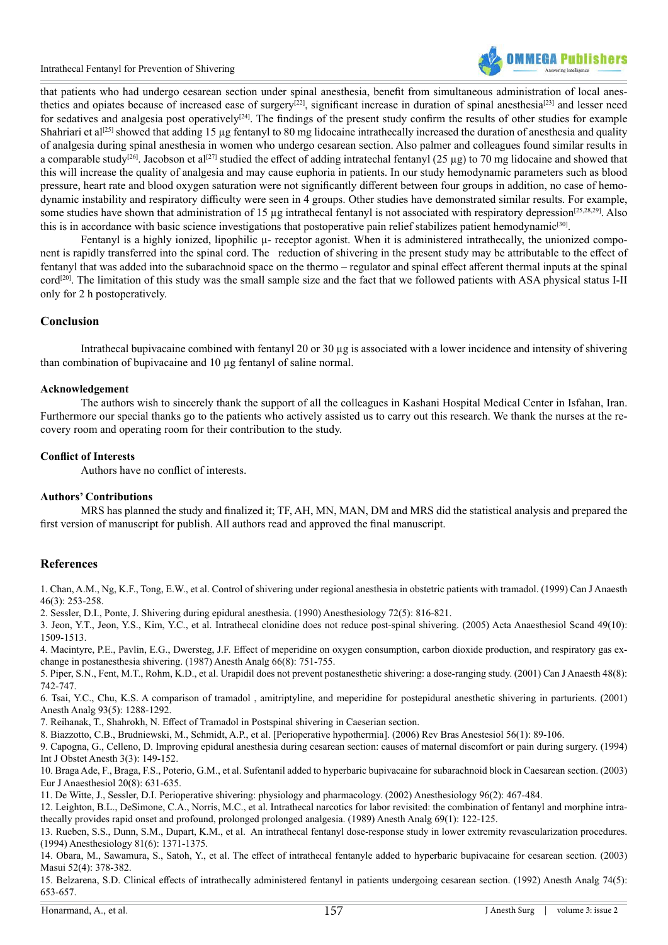

that patients who had undergo cesarean section under spinal anesthesia, benefit from simultaneous administration of local anes-thetics and opiates because of increased ease of surgery<sup>[22]</sup>, significant increase in duration of spinal anesthesia<sup>[\[23\]](#page-5-4)</sup> and lesser need for sedatives and analgesia post operatively<sup>[24]</sup>. The findings of the present study confirm the results of other studies for example Shahriari et al<sup>[25]</sup> showed that adding 15 ug fentanyl to 80 mg lidocaine intrathecally increased the duration of anesthesia and quality of analgesia during spinal anesthesia in women who undergo cesarean section. Also palmer and colleagues found similar results in a comparable study<sup>[26]</sup>. Jacobson et al<sup>[\[27\]](#page-5-8)</sup> studied the effect of adding intratechal fentanyl (25 µg) to 70 mg lidocaine and showed that this will increase the quality of analgesia and may cause euphoria in patients. In our study hemodynamic parameters such as blood pressure, heart rate and blood oxygen saturation were not significantly different between four groups in addition, no case of hemodynamic instability and respiratory difficulty were seen in 4 groups. Other studies have demonstrated similar results. For example, some studies have shown that administration of 15  $\mu$ g intrathecal fentanyl is not associated with respiratory depression<sup>[25,28,29]</sup>. Also this is in accordance with basic science investigations that postoperative pain relief stabilizes patient hemodynamic<sup>[30]</sup>.

Fentanyl is a highly ionized, lipophilic  $\mu$ - receptor agonist. When it is administered intrathecally, the unionized component is rapidly transferred into the spinal cord. The reduction of shivering in the present study may be attributable to the effect of fentanyl that was added into the subarachnoid space on the thermo – regulator and spinal effect afferent thermal inputs at the spinal cord[\[20\]](#page-5-10). The limitation of this study was the small sample size and the fact that we followed patients with ASA physical status I-II only for 2 h postoperatively.

# **Conclusion**

Intrathecal bupivacaine combined with fentanyl 20 or 30  $\mu$ g is associated with a lower incidence and intensity of shivering than combination of bupivacaine and 10 µg fentanyl of saline normal.

#### **Acknowledgement**

The authors wish to sincerely thank the support of all the colleagues in Kashani Hospital Medical Center in Isfahan, Iran. Furthermore our special thanks go to the patients who actively assisted us to carry out this research. We thank the nurses at the recovery room and operating room for their contribution to the study.

#### **Conflict of Interests**

Authors have no conflict of interests.

#### **Authors' Contributions**

MRS has planned the study and finalized it; TF, AH, MN, MAN, DM and MRS did the statistical analysis and prepared the first version of manuscript for publish. All authors read and approved the final manuscript.

#### **References**

<span id="page-4-0"></span>1. [Chan, A.M., Ng, K.F., Tong, E.W., et al. Control of shivering under regional anesthesia in obstetric patients with tramadol. \(1999\) Can J Anaesth](http://www.ncbi.nlm.nih.gov/pubmed/10210050) [46\(3\): 253-258](http://www.ncbi.nlm.nih.gov/pubmed/10210050).

2. [Sessler, D.I., Ponte, J. Shivering during epidural anesthesia. \(1990\) Anesthesiology 72\(5\): 816-821.](http://www.ncbi.nlm.nih.gov/pubmed/2339797)

3. [Jeon, Y.T., Jeon, Y.S., Kim, Y.C., et al. Intrathecal clonidine does not reduce post-spinal shivering. \(2005\) Acta Anaesthesiol Scand 49\(10\):](http://www.ncbi.nlm.nih.gov/pubmed/16223398) [1509-1513.](http://www.ncbi.nlm.nih.gov/pubmed/16223398)

<span id="page-4-1"></span>4. [Macintyre, P.E., Pavlin, E.G., Dwersteg, J.F. Effect of meperidine on oxygen consumption, carbon dioxide production, and respiratory gas ex](http://www.ncbi.nlm.nih.gov/pubmed/11546713)[change in postanesthesia shivering. \(1987\) Anesth Analg 66\(8\): 751-755.](http://www.ncbi.nlm.nih.gov/pubmed/11546713)

5. [Piper, S.N., Fent, M.T., Rohm, K.D., et al. Urapidil does not prevent postanesthetic shivering: a dose-ranging study. \(2001\) Can J Anaesth 48\(8\):](http://www.ncbi.nlm.nih.gov/pubmed/11546713) [742-747.](http://www.ncbi.nlm.nih.gov/pubmed/11546713)

<span id="page-4-8"></span>6. [Tsai, Y.C., Chu, K.S. A comparison of tramadol , amitriptyline, and meperidine for postepidural anesthetic shivering in parturients. \(2001\)](http://www.ncbi.nlm.nih.gov/pubmed/11682416) [Anesth Analg 93\(5\): 1288-1292.](http://www.ncbi.nlm.nih.gov/pubmed/11682416)

7. [Reihanak, T., Shahrokh, N. Effect of Tramadol in Postspinal shivering in Caeserian section.](http://download.springer.com/static/pdf/298/art%253A10.1007%252FBF03023219.pdf?originUrl=http%3A%2F%2Flink.springer.com%2Farticle%2F10.1007%2FBF03023219&token2=exp=1468841156~acl=%2Fstatic%2Fpdf%2F298%2Fart%25253A10.1007%25252FBF03023219.pdf%3ForiginUrl%3D)

<span id="page-4-2"></span>8. [Biazzotto, C.B., Brudniewski, M., Schmidt, A.P., et al. \[Perioperative hypothermia\]. \(2006\) Rev Bras Anestesiol 56\(1\): 89-106.](http://www.ncbi.nlm.nih.gov/pubmed/19468555)

<span id="page-4-3"></span>9. [Capogna, G., Celleno, D. Improving epidural anesthesia during cesarean section: causes of maternal discomfort or pain during surgery. \(1994\)](http://www.ncbi.nlm.nih.gov/pubmed/15636939) [Int J Obstet Anesth 3\(3\): 149-152.](http://www.ncbi.nlm.nih.gov/pubmed/15636939)

<span id="page-4-4"></span>10. [Braga Ade, F., Braga, F.S., Poterio, G.M., et al. Sufentanil added to hyperbaric bupivacaine for subarachnoid block in Caesarean section. \(2003\)](http://www.ncbi.nlm.nih.gov/pubmed/12932064) [Eur J Anaesthesiol 20\(8\): 631-635.](http://www.ncbi.nlm.nih.gov/pubmed/12932064)

<span id="page-4-5"></span>11. [De Witte, J., Sessler, D.I. Perioperative shivering: physiology and pharmacology. \(2002\) Anesthesiology 96\(2\): 467-484.](http://www.ncbi.nlm.nih.gov/pubmed/11818783)

<span id="page-4-6"></span>12. [Leighton, B.L., DeSimone, C.A., Norris, M.C., et al. Intrathecal narcotics for labor revisited: the combination of fentanyl and morphine intra](http://www.ncbi.nlm.nih.gov/pubmed/2742176)[thecally provides rapid onset and profound, prolonged prolonged analgesia. \(1989\) Anesth Analg 69\(1\): 122-125.](http://www.ncbi.nlm.nih.gov/pubmed/2742176) 

<span id="page-4-7"></span>13. [Rueben, S.S., Dunn, S.M., Dupart, K.M., et al. An intrathecal fentanyl dose-response study in lower extremity revascularization procedures.](http://www.ncbi.nlm.nih.gov/pubmed/7992905) [\(1994\) Anesthesiology 81\(6\): 1371-1375.](http://www.ncbi.nlm.nih.gov/pubmed/7992905)

14. [Obara, M., Sawamura, S., Satoh, Y., et al. The effect of intrathecal fentanyle added to hyperbaric bupivacaine for cesarean section. \(2003\)](http://www.ncbi.nlm.nih.gov/pubmed/12728487) [Masui 52\(4\): 378-382.](http://www.ncbi.nlm.nih.gov/pubmed/12728487)

15. [Belzarena, S.D. Clinical effects of intrathecally administered fentanyl in patients undergoing cesarean section. \(1992\) Anesth Analg 74\(5\):](http://www.ncbi.nlm.nih.gov/pubmed/1567031) [653-657.](http://www.ncbi.nlm.nih.gov/pubmed/1567031)